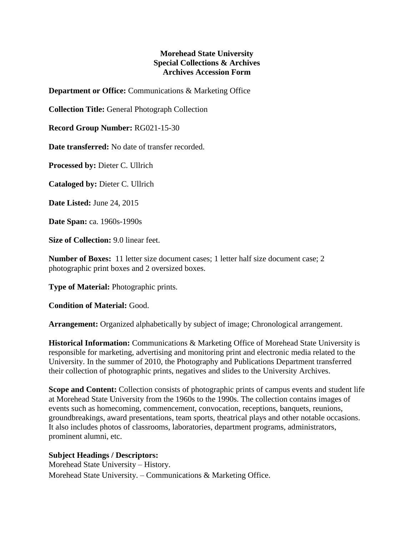## **Morehead State University Special Collections & Archives Archives Accession Form**

**Department or Office:** Communications & Marketing Office

**Collection Title:** General Photograph Collection

**Record Group Number:** RG021-15-30

**Date transferred:** No date of transfer recorded.

**Processed by:** Dieter C. Ullrich

**Cataloged by:** Dieter C. Ullrich

**Date Listed:** June 24, 2015

**Date Span:** ca. 1960s-1990s

**Size of Collection:** 9.0 linear feet.

**Number of Boxes:** 11 letter size document cases; 1 letter half size document case; 2 photographic print boxes and 2 oversized boxes.

**Type of Material:** Photographic prints.

**Condition of Material:** Good.

**Arrangement:** Organized alphabetically by subject of image; Chronological arrangement.

**Historical Information:** Communications & Marketing Office of Morehead State University is responsible for marketing, advertising and monitoring print and electronic media related to the University. In the summer of 2010, the Photography and Publications Department transferred their collection of photographic prints, negatives and slides to the University Archives.

**Scope and Content:** Collection consists of photographic prints of campus events and student life at Morehead State University from the 1960s to the 1990s. The collection contains images of events such as homecoming, commencement, convocation, receptions, banquets, reunions, groundbreakings, award presentations, team sports, theatrical plays and other notable occasions. It also includes photos of classrooms, laboratories, department programs, administrators, prominent alumni, etc.

## **Subject Headings / Descriptors:**

Morehead State University – History. Morehead State University. – Communications & Marketing Office.